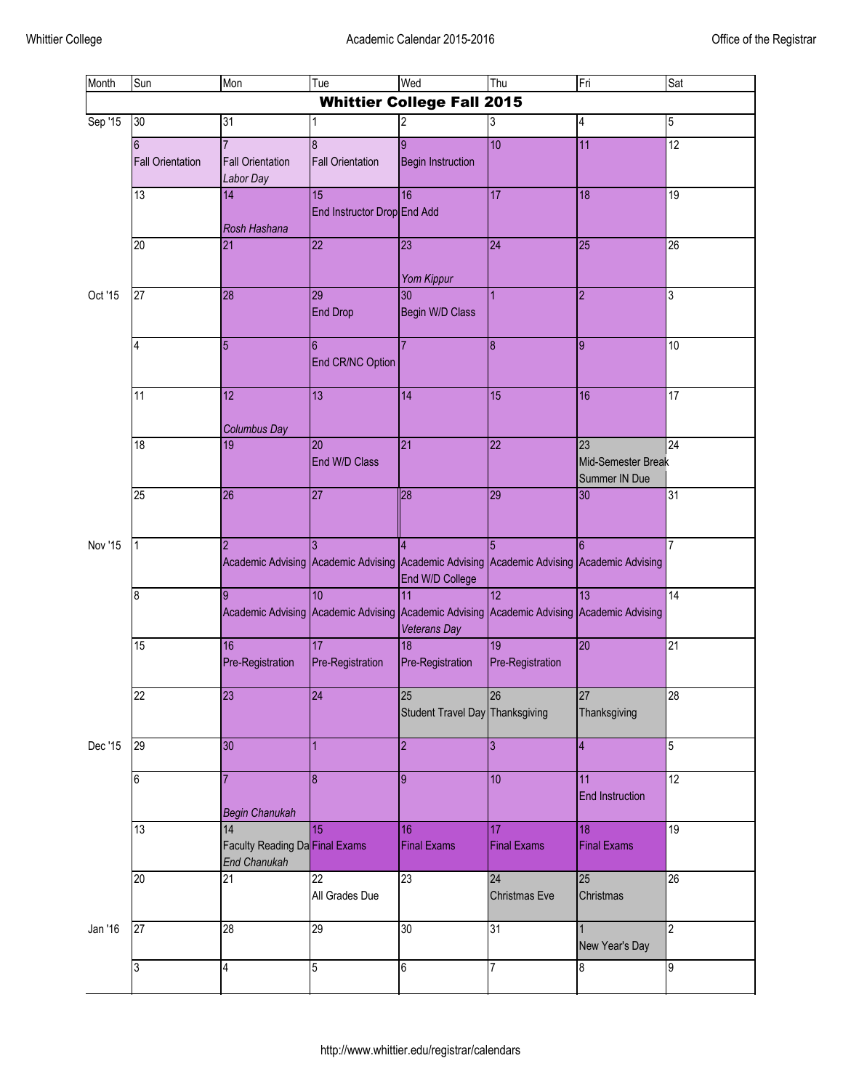| Month              | Sun                                        | Mon                                                         | Tue                                            | Wed                                        | Thu                                                                                            | Fri                                       | Sat             |
|--------------------|--------------------------------------------|-------------------------------------------------------------|------------------------------------------------|--------------------------------------------|------------------------------------------------------------------------------------------------|-------------------------------------------|-----------------|
|                    |                                            |                                                             |                                                | <b>Whittier College Fall 2015</b>          |                                                                                                |                                           |                 |
| Sep '15            | $\overline{30}$                            | 31                                                          |                                                | $\overline{c}$                             | 3                                                                                              | 4                                         | 5               |
| Oct '15            | $6\phantom{.}6$<br><b>Fall Orientation</b> | $\overline{7}$<br><b>Fall Orientation</b><br>Labor Day      | $\overline{8}$<br><b>Fall Orientation</b>      | $\overline{9}$<br><b>Begin Instruction</b> | 10                                                                                             | 11                                        | 12              |
|                    | 13                                         | 14<br>Rosh Hashana                                          | $\overline{15}$<br>End Instructor Drop End Add | 16                                         | 17                                                                                             | 18                                        | 19              |
|                    | $\overline{20}$                            | 21                                                          | $\overline{22}$                                | 23<br>Yom Kippur                           | 24                                                                                             | 25                                        | 26              |
|                    | $\overline{27}$                            | 28                                                          | 29<br><b>End Drop</b>                          | 30<br>Begin W/D Class                      | 1                                                                                              | $\overline{2}$                            | 3               |
|                    | 4                                          | 5                                                           | $6\phantom{.}6$<br>End CR/NC Option            | 7                                          | $\overline{8}$                                                                                 | 9                                         | 10              |
|                    | 11                                         | $\overline{12}$<br><b>Columbus Day</b>                      | $\overline{13}$                                | 14                                         | 15                                                                                             | 16                                        | 17              |
|                    | 18                                         | 19                                                          | 20<br>End W/D Class                            | 21                                         | 22                                                                                             | 23<br>Mid-Semester Break<br>Summer IN Due | $\overline{24}$ |
|                    | 25                                         | $\overline{26}$                                             | 27                                             | 28                                         | 29                                                                                             | 30                                        | 31              |
| Nov '15<br>Dec '15 | 1                                          | $\overline{2}$                                              |                                                | End W/D College                            | 5<br>Academic Advising Academic Advising Academic Advising Academic Advising Academic Advising | <sup>6</sup>                              | $\overline{7}$  |
|                    | $\bf{8}$                                   | 9<br>Academic Advising Academic Advising                    | 10                                             | 11<br><b>Veterans Day</b>                  | 12<br>Academic Advising Academic Advising Academic Advising                                    | 13                                        | 14              |
|                    | 15                                         | 16<br>Pre-Registration                                      | $\overline{17}$<br>Pre-Registration            | 18<br>Pre-Registration                     | 19<br>Pre-Registration                                                                         | 20                                        | 21              |
|                    | $\overline{22}$                            | 23                                                          | 24                                             | 25<br>Student Travel Day Thanksgiving      | 26                                                                                             | 27<br>Thanksgiving                        | 28              |
|                    | 29                                         | $\overline{30}$                                             |                                                | $\overline{2}$                             | 3                                                                                              | $\overline{4}$                            | 5               |
|                    | $6\phantom{a}$                             | Begin Chanukah                                              | $\overline{8}$                                 | $\overline{9}$                             | 10                                                                                             | 11<br><b>End Instruction</b>              | 12              |
|                    | 13                                         | 14<br>Faculty Reading Da Final Exams<br><b>End Chanukah</b> | 15                                             | 16<br><b>Final Exams</b>                   | 17<br><b>Final Exams</b>                                                                       | 18<br><b>Final Exams</b>                  | 19              |
|                    | $\overline{20}$                            | 21                                                          | $\overline{22}$<br>All Grades Due              | 23                                         | 24<br>Christmas Eve                                                                            | 25<br>Christmas                           | 26              |
| Jan '16            | $\overline{27}$                            | $\overline{28}$                                             | 29                                             | 30                                         | 31                                                                                             | $\vert$ 1<br>New Year's Day               | $\overline{2}$  |
|                    | 3                                          | $\overline{4}$                                              | 5                                              | 6                                          | $\overline{7}$                                                                                 | 8                                         | 9               |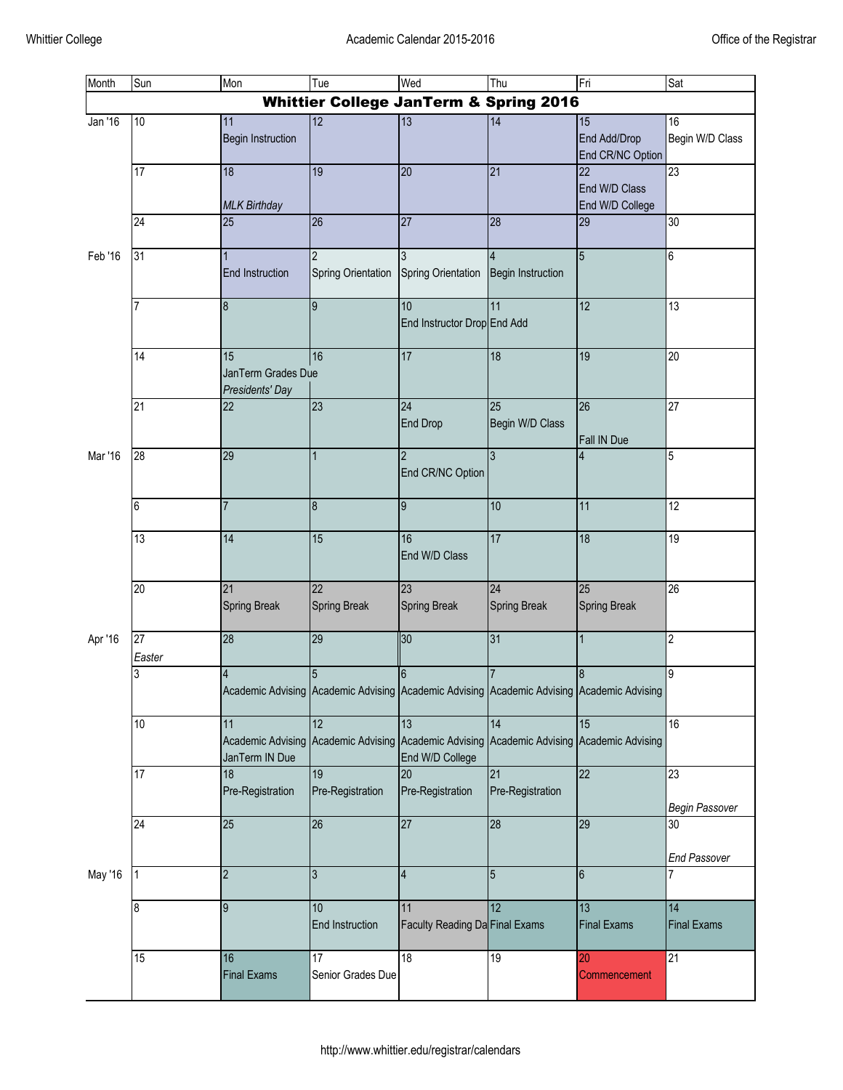| Month              | Sun                                               | Mon                                         | Tue                                                                                            | Wed                                         | Thu                                                         | Fri                                    | Sat                                    |
|--------------------|---------------------------------------------------|---------------------------------------------|------------------------------------------------------------------------------------------------|---------------------------------------------|-------------------------------------------------------------|----------------------------------------|----------------------------------------|
|                    | <b>Whittier College JanTerm &amp; Spring 2016</b> |                                             |                                                                                                |                                             |                                                             |                                        |                                        |
| Jan '16            | 10                                                | 11<br><b>Begin Instruction</b>              | $\overline{12}$                                                                                | 13                                          | 14                                                          | 15<br>End Add/Drop<br>End CR/NC Option | 16<br>Begin W/D Class                  |
|                    | 17                                                | 18<br><b>MLK Birthday</b>                   | $\overline{19}$                                                                                | 20                                          | 21                                                          | 22<br>End W/D Class<br>End W/D College | 23                                     |
|                    | 24                                                | $\overline{25}$                             | $\overline{26}$                                                                                | $\overline{27}$                             | $\overline{28}$                                             | 29                                     | 30                                     |
| Feb '16<br>Mar '16 | 31                                                | <b>End Instruction</b>                      | $\overline{2}$<br><b>Spring Orientation</b>                                                    | 3<br><b>Spring Orientation</b>              | 4<br><b>Begin Instruction</b>                               | $\overline{5}$                         | 6                                      |
|                    | 7                                                 | $\boldsymbol{8}$                            | $\overline{9}$                                                                                 | 10<br>End Instructor Drop End Add           | 11                                                          | 12                                     | $\overline{13}$                        |
|                    | 14                                                | 15<br>JanTerm Grades Due<br>Presidents' Day | 16                                                                                             | 17                                          | 18                                                          | 19                                     | $\overline{20}$                        |
|                    | $\overline{21}$                                   | $\overline{22}$                             | 23                                                                                             | $\overline{24}$<br><b>End Drop</b>          | 25<br>Begin W/D Class                                       | 26<br>Fall IN Due                      | $\overline{27}$                        |
|                    | 28                                                | $\overline{29}$                             | $\mathbf{1}$                                                                                   | $\overline{2}$<br>End CR/NC Option          | ပ                                                           | $\overline{4}$                         | 5                                      |
|                    | 6                                                 | $\overline{7}$                              | $\boldsymbol{8}$                                                                               | 9                                           | 10                                                          | 11                                     | 12                                     |
|                    | 13                                                | $\overline{14}$                             | 15                                                                                             | 16<br>End W/D Class                         | 17                                                          | 18                                     | 19                                     |
|                    | $\overline{20}$                                   | 21<br><b>Spring Break</b>                   | $\overline{22}$<br><b>Spring Break</b>                                                         | 23<br><b>Spring Break</b>                   | 24<br><b>Spring Break</b>                                   | 25<br><b>Spring Break</b>              | 26                                     |
| Apr '16            | $\overline{27}$<br>Easter                         | 28                                          | 29                                                                                             | 30                                          | 31                                                          | $\overline{1}$                         | $\overline{2}$                         |
|                    | 3                                                 | 4                                           | 5<br>Academic Advising Academic Advising Academic Advising Academic Advising Academic Advising | 6                                           |                                                             | $\boldsymbol{8}$                       | 9                                      |
|                    | 10                                                | 11<br>JanTerm IN Due                        | 12<br>Academic Advising Academic Advising                                                      | 13<br>End W/D College                       | 14<br>Academic Advising Academic Advising Academic Advising | 15                                     | 16                                     |
|                    | 17                                                | 18<br>Pre-Registration                      | 19<br>Pre-Registration                                                                         | 20<br>Pre-Registration                      | 21<br>Pre-Registration                                      | 22                                     | 23<br>Begin Passover                   |
|                    | 24                                                | 25                                          | 26                                                                                             | 27                                          | 28                                                          | 29                                     | $\overline{30}$<br><b>End Passover</b> |
| May '16            | 1                                                 | $\overline{\mathbf{c}}$                     | $\mathbf{3}$                                                                                   | $\overline{4}$                              | 5                                                           | $6\phantom{.}$                         | 7                                      |
|                    | 8                                                 | 9                                           | 10 <sup>1</sup><br><b>End Instruction</b>                                                      | 11<br><b>Faculty Reading Da Final Exams</b> | $\overline{12}$                                             | 13<br><b>Final Exams</b>               | 14<br><b>Final Exams</b>               |
|                    | 15                                                | $\overline{16}$<br><b>Final Exams</b>       | 17<br>Senior Grades Due                                                                        | 18                                          | 19                                                          | 20<br>Commencement                     | 21                                     |